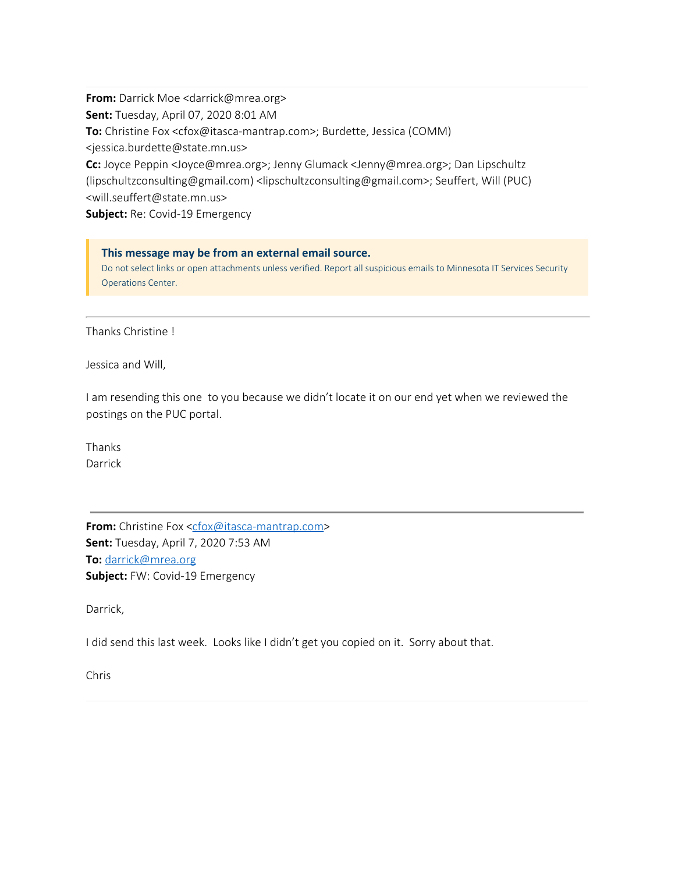**From:** Darrick Moe <darrick@mrea.org> **Sent:** Tuesday, April 07, 2020 8:01 AM **To:** Christine Fox <cfox@itasca-mantrap.com>; Burdette, Jessica (COMM) <jessica.burdette@state.mn.us> **Cc:** Joyce Peppin <Joyce@mrea.org>; Jenny Glumack <Jenny@mrea.org>; Dan Lipschultz (lipschultzconsulting@gmail.com) <lipschultzconsulting@gmail.com>; Seuffert, Will (PUC) <will.seuffert@state.mn.us>

**Subject:** Re: Covid-19 Emergency

## **This message may be from an external email source.**

Do not select links or open attachments unless verified. Report all suspicious emails to Minnesota IT Services Security Operations Center.

Thanks Christine !

Jessica and Will,

I am resending this one to you because we didn't locate it on our end yet when we reviewed the postings on the PUC portal.

Thanks Darrick

**From:** Christine Fox [<cfox@itasca-mantrap.com](mailto:cfox@itasca-mantrap.com)> **Sent:** Tuesday, April 7, 2020 7:53 AM **To:** [darrick@mrea.org](mailto:darrick@mrea.org) **Subject:** FW: Covid-19 Emergency

Darrick,

I did send this last week. Looks like I didn't get you copied on it. Sorry about that.

Chris